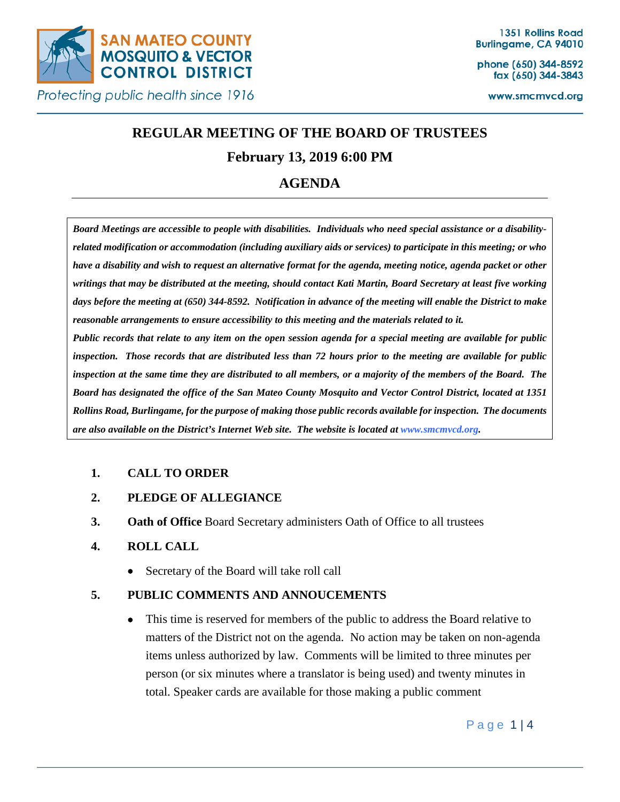

phone (650) 344-8592 fax (650) 344-3843

www.smcmvcd.org

# **REGULAR MEETING OF THE BOARD OF TRUSTEES**

## **February 13, 2019 6:00 PM**

## **AGENDA**

*Board Meetings are accessible to people with disabilities. Individuals who need special assistance or a disabilityrelated modification or accommodation (including auxiliary aids or services) to participate in this meeting; or who have a disability and wish to request an alternative format for the agenda, meeting notice, agenda packet or other writings that may be distributed at the meeting, should contact Kati Martin, Board Secretary at least five working*  days before the meeting at (650) 344-8592. Notification in advance of the meeting will enable the District to make *reasonable arrangements to ensure accessibility to this meeting and the materials related to it.*

*Public records that relate to any item on the open session agenda for a special meeting are available for public inspection. Those records that are distributed less than 72 hours prior to the meeting are available for public inspection at the same time they are distributed to all members, or a majority of the members of the Board. The Board has designated the office of the San Mateo County Mosquito and Vector Control District, located at 1351 Rollins Road, Burlingame, for the purpose of making those public records available for inspection. The documents are also available on the District's Internet Web site. The website is located at www.smcmvcd.org.* 

## **1. CALL TO ORDER**

## **2. PLEDGE OF ALLEGIANCE**

**3. Oath of Office** Board Secretary administers Oath of Office to all trustees

## **4. ROLL CALL**

• Secretary of the Board will take roll call

## **5. PUBLIC COMMENTS AND ANNOUCEMENTS**

• This time is reserved for members of the public to address the Board relative to matters of the District not on the agenda. No action may be taken on non-agenda items unless authorized by law. Comments will be limited to three minutes per person (or six minutes where a translator is being used) and twenty minutes in total. Speaker cards are available for those making a public comment

Page 1 | 4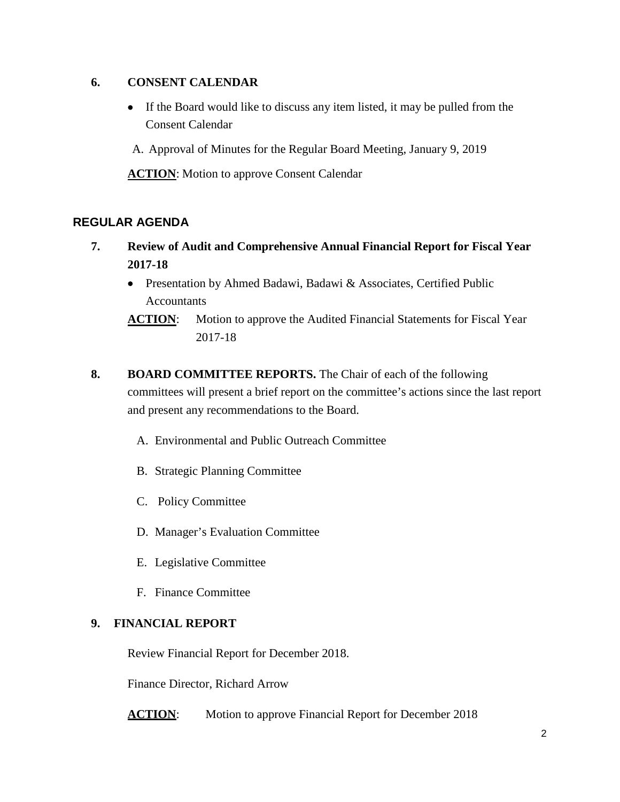## **6. CONSENT CALENDAR**

- If the Board would like to discuss any item listed, it may be pulled from the Consent Calendar
- A. Approval of Minutes for the Regular Board Meeting, January 9, 2019

**ACTION:** Motion to approve Consent Calendar

## **REGULAR AGENDA**

- **7. Review of Audit and Comprehensive Annual Financial Report for Fiscal Year 2017-18**
	- Presentation by Ahmed Badawi, Badawi & Associates, Certified Public Accountants
	- **ACTION:** Motion to approve the Audited Financial Statements for Fiscal Year 2017-18
- **8. BOARD COMMITTEE REPORTS.** The Chair of each of the following committees will present a brief report on the committee's actions since the last report and present any recommendations to the Board.
	- A. Environmental and Public Outreach Committee
	- B. Strategic Planning Committee
	- C. Policy Committee
	- D. Manager's Evaluation Committee
	- E. Legislative Committee
	- F. Finance Committee

#### **9. FINANCIAL REPORT**

Review Financial Report for December 2018.

Finance Director, Richard Arrow

**ACTION:** Motion to approve Financial Report for December 2018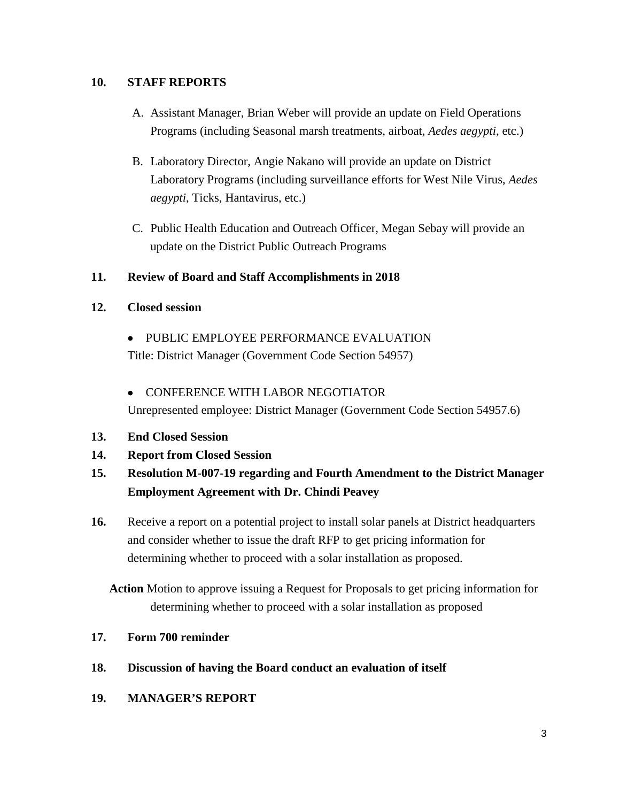## **10. STAFF REPORTS**

- A. Assistant Manager, Brian Weber will provide an update on Field Operations Programs (including Seasonal marsh treatments, airboat, *Aedes aegypti*, etc.)
- B. Laboratory Director, Angie Nakano will provide an update on District Laboratory Programs (including surveillance efforts for West Nile Virus, *Aedes aegypti*, Ticks, Hantavirus, etc.)
- C. Public Health Education and Outreach Officer, Megan Sebay will provide an update on the District Public Outreach Programs

#### **11. Review of Board and Staff Accomplishments in 2018**

#### **12. Closed session**

- PUBLIC EMPLOYEE PERFORMANCE EVALUATION Title: District Manager (Government Code Section 54957)
- CONFERENCE WITH LABOR NEGOTIATOR Unrepresented employee: District Manager (Government Code Section 54957.6)
- **13. End Closed Session**
- **14. Report from Closed Session**

## **15. Resolution M-007-19 regarding and Fourth Amendment to the District Manager Employment Agreement with Dr. Chindi Peavey**

**16.** Receive a report on a potential project to install solar panels at District headquarters and consider whether to issue the draft RFP to get pricing information for determining whether to proceed with a solar installation as proposed.

**Action** Motion to approve issuing a Request for Proposals to get pricing information for determining whether to proceed with a solar installation as proposed

## **17. Form 700 reminder**

- **18. Discussion of having the Board conduct an evaluation of itself**
- **19. MANAGER'S REPORT**